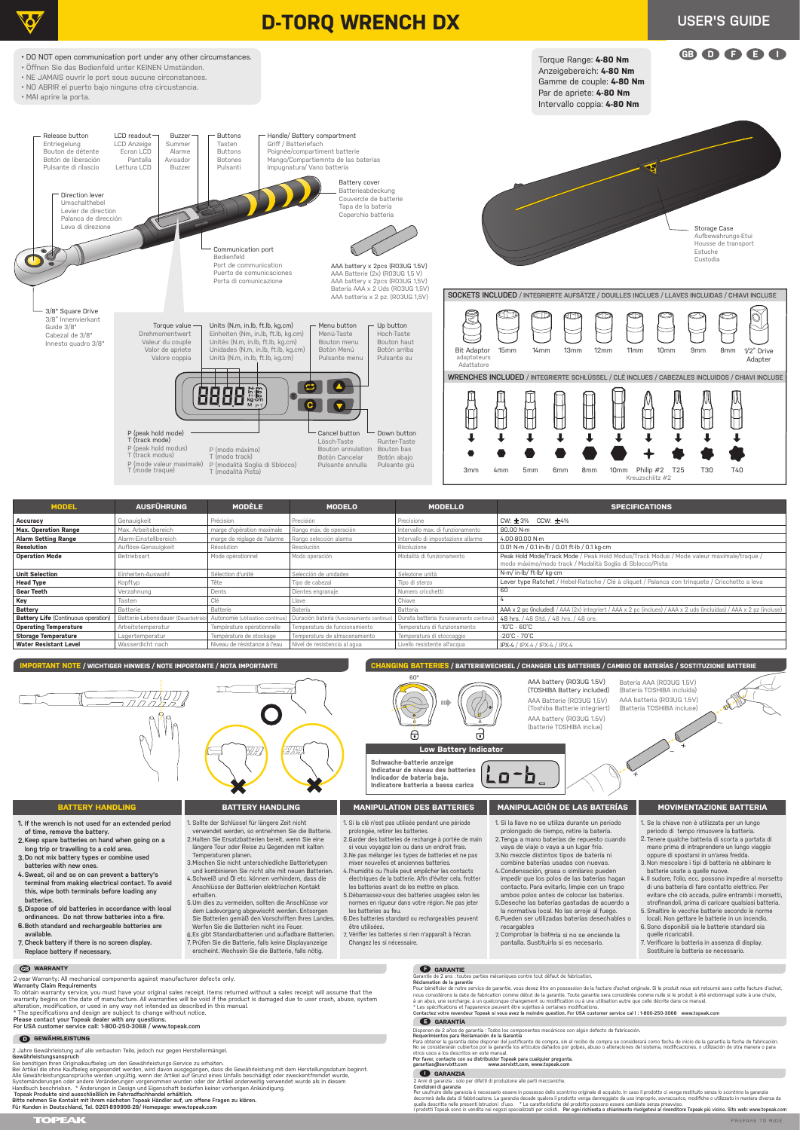

2.Halten Sie Ersatzbatterien bereit, wenn Sie eine längere Tour oder Reise zu Gegenden mit kalten

| <b>MODEL</b>                               | <b>AUSFÜHRUNG</b>               | <b>MODÈLE</b>                   | <b>MODELO</b>                            | <b>MODELLO</b>                        | <b>SPECIFICATIONS</b>                                                                                                                                |
|--------------------------------------------|---------------------------------|---------------------------------|------------------------------------------|---------------------------------------|------------------------------------------------------------------------------------------------------------------------------------------------------|
| Accuracy                                   | Genauigkeit                     | Précision                       | Precisión                                | Precisione                            | CW: $\pm$ 3% CCW: $\pm$ 4%                                                                                                                           |
| <b>Max. Operation Range</b>                | Max, Arbeitsbereich             | marge d'opération maximale      | Rango máx. de operación                  | Intervallo max, di funzionamento      | 80.00 N-m                                                                                                                                            |
| <b>Alarm Setting Range</b>                 | Alarm-Einstellbereich           | marge de réglage de l'alarme    | Rango selección alarma                   | Intervallo di impostazione allarme    | 4.00-80.00 N-m                                                                                                                                       |
| Resolution                                 | Auflöse-Genauigkeit             | Résolution                      | Resolución                               | Risoluzione                           | 0.01 N-m / 0.1 in-lb / 0.01 ft-lb / 0.1 kg-cm                                                                                                        |
| <b>Operation Mode</b>                      | Betriebsart                     | Mode opérationnel               | Modo operación                           | Modalità di funzionamento             | Peak Hold Mode/Track Mode / Peak Hold Modus/Track Modus / Mode valeur maximale/traque /<br>modo máximo/modo track / Modalità Soglia di Sblocco/Pista |
| <b>Unit Selection</b>                      | Einheiten-Auswahl               | Sélection d'unité               | Selección de unidades                    | Selezione unità                       | N-m/ in-lb/ ft-lb/ kg-cm                                                                                                                             |
| <b>Head Type</b>                           | Kopftyp                         | Tête                            | Tipo de cabezal                          | Tipo di sterzo                        | Lever type Ratchet / Hebel-Ratsche / Clé à cliquet / Palanca con tringuete / Cricchetto a leva                                                       |
| Gear Teeth                                 | Verzahnung                      | Dents                           | Dientes engranaje                        | Numero cricchetti                     | 60                                                                                                                                                   |
| Key                                        | Tasten                          | Clé                             | Llave                                    | Chiave                                |                                                                                                                                                      |
| Battery                                    | Batterie                        | Batterie                        | Batería                                  | Batteria                              | AAA x 2 pc (included) / AAA (2x) integriert / AAA x 2 pc (inclues) / AAA x 2 uds (incluidas) / AAA x 2 pz (incluse)                                  |
| <b>Battery Life (Continuous operation)</b> | Batterie-Lebensdauer (Dauerbetr | Autonomie (utilisation continue | Duración batería (funcionamiento continu | Durata batteria (funzionamento contin | 48 hrs. / 48 Std. / 48 hrs. / 48 ore.                                                                                                                |
| <b>Operating Temperature</b>               | Arbeitstemperatur               | Température opérationnelle      | Temperatura de funcionamiento            | Temperatura di funzionamento          | $-10^{\circ}$ C - 60 $^{\circ}$ C                                                                                                                    |
| <b>Storage Temperature</b>                 | Lagertemperatur                 | Température de stockage         | Temperatura de almacenamiento            | Temperatura di stoccaggio             | $-20^{\circ}$ C - 70 $^{\circ}$ C                                                                                                                    |
| <b>Water Resistant Level</b>               | Wasserdicht nach                | Niveau de résistance à l'eau    | Nivel de resistencia al agua             | Livello resistente all'acqua          | IPX-4 / IPX-4 / IPX-4 / IPX-4                                                                                                                        |

To obtain warranty service, you must have your original sales receipt. Items returned without a sales receipt will assume that the<br>warranty begins on the date of manufacture. All warranties will be void if the product is d alteration, modification, or used in any way not intended as described in this manual.

2. Tenere qualche batteria di scorta a portata di mano prima di intraprendere un lungo viaggio

**long trip or travelling to a cold area.**

**Do not mix battery types or combine used 3. batteries with new ones.**

2. Tenga a mano baterías de repuesto cuando vaya de viaje o vaya a un lugar frío.

- 3. Mischen Sie nicht unterschiedliche Batterietypen und kombinieren Sie nicht alte mit neuen Batterien. 4. Schweiß und Öl etc. können verhindern, dass die Anschlüsse der Batterien elektrischen Kontakt erhalten.
- 5. Um dies zu vermeiden, sollten die Anschlüsse vor dem Ladevorgang abgewischt werden. Entsorgen Sie Batterien gemäß den Vorschriften Ihres Landes. Werfen Sie die Batterien nicht ins Feuer.
- Es gibt Standardbatterien und aufladbare Batterien. 7. 6. Vérifier les batteries si rien n'apparaît à l'écran. Prüfen Sie die Batterie, falls keine Displayanzeige 7. erscheint. Wechseln Sie die Batterie, falls nötig.
- 3. Ne pas mélanger les types de batteries et ne pas 4. l'humidité ou l'huile peut empêcher les contacts 5. Débarrassez-vous des batteries usagées selon les mixer nouvelles et anciennes batteries. électriques de la batterie. Afin d'éviter cela, frotter les batteries avant de les mettre en place. normes en rigueur dans votre région. Ne pas jeter les batteries au feu.
- 6. Des batteries standard ou rechargeables peuvent être utilisées.
	- Changez les si nécessaire.
- 3. No mezcle distintos tipos de batería ni combine baterías usadas con nuevas. 4. Condensación, grasa o similares pueden impedir que los polos de las baterías hagan contacto. Para evitarlo, limpie con un trapo ambos polos antes de colocar las baterías. 5. Deseche las baterías gastadas de acuerdo a la normativa local. No las arroje al fuego. 6. Pueden ser utilizadas baterías desechables o recargables
- **Sweat, oil and so on can prevent a battery's 4. terminal from making electrical contact. To avoid this, wipe both terminals before loading any batteries.**
- **Dispose of old batteries in accordance with local 5. ordinances. Do not throw batteries into a fire.**
- **Both standard and rechargeable batteries are 6. available.**
- **Check battery if there is no screen display. 7. Replace battery if necessary.**

7. Comprobar la batería si no se enciende la pantalla. Sustituirla si es necesario.

#### Temperaturen planen.



# **GARANTÍA**

Disponen de 2 años de garantía : Todos los componentes mecánicos con algún defecto de fabricación.<br>**Requerimientos para Reclamación de la Garantí**a<br>Para obtener la garantía debe disponer del justificante de compra, sin el

2-year Warranty: All mechanical components against manufacturer defects only.

#### **Warranty Claim Requirements**

\* The specifications and design are subject to change without notice. **Please contact your Topeak dealer with any questions. For USA customer service call: 1-800-250-3068 / www.topeak.com**

# **GEWÄHRLEISTUNG**

### **WARRANTY**

- oppure di spostarsi in un'area fredda. 3. Non mescolare i tipi di batteria nè abbinare le
- batterie usate a quelle nuove.
- 4. Il sudore, l'olio, ecc. possono impedire al morsetto di una batteria di fare contatto elettrico. Per evitare che ciò accada, pulire entrambi i morsetti, strofinandoli, prima di caricare qualsiasi batteria. Smaltire le vecchie batterie secondo le norme 5.
- locali. Non gettare le batterie in un incendio. Sono disponibili sia le batterie standard sia 6. quelle ricaricabili.
- 7. Verificare la batteria in assenza di display. Sostituire la batteria se necessario.

**GARANZIA** 2 Anni di garanzia : solo per difetti di produzione alle parti meccaniche. **Condizioni di garanzia**

Per usufruire della garanzia è necessario essere in possesso dello scontrino originale di acquisto. In caso il prodotto ci venga restituito senza lo scontrino la garanzia<br>decorrerà dalla data di fabbricazione. La garanzia

2. Garder des batteries de rechange à portée de main si vous voyagez loin ou dans un endroit frais.

otros usos a los descritos en este manual. **Por favor, contacte con su distribuidor Topeak para cualquier pregunta. garantias@servixtt.com www.servixtt.com, www.topeak.com**

Garantie de 2 ans : toutes parties mécaniques contre tout défaut de fabrication. **Réclamation de la garantie**

Pour bénéficier de notre service de garantie, vous devez être en possession de la facture d'achat originale. Si le produit nous est retourné sans cette facture d'achat nous considérons la date de fabrication comme début de la garantie. Toute garantie sera considérée comme nulle si le produit à été endommagé suite à une chute,<br>\* Les spécifications et l'apparence peuvent être sujettes à ce

2 Jahre Gewährleistung auf alle verbauten Teile, jedoch nur gegen Herstellermängel. **Gewährleistungsanspruch**

Sie benötigen Ihren Originalkaufbeleg um den Gewährleistungs-Service zu erhalten.

Bei Artikel die ohne Kaufbeleg eingesendet werden, wird davon ausgegangen, dass die Gewährleistung mit dem Herstellungsdatum beginnt.<br>Alle Gewährleistungsansprüche werden ungültig, wenn der Artikel auf Grund eines Unfalls

#### **Topeak Produkte sind ausschließlich im Fahrradfachhandel erhältlich.**

**Bitte nehmen Sie Kontakt mit Ihrem nächsten Topeak Händler auf, um offene Fragen zu klären. Für Kunden in Deutschland, Tel. 0261-899998-28/ Homepage: www.topeak.com**

## **GARANTIE**